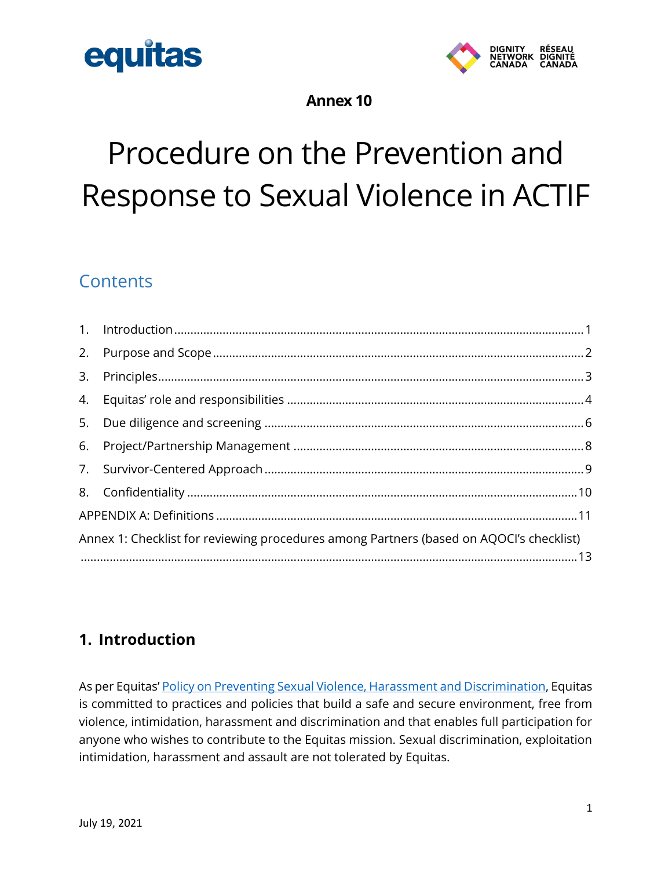



#### **Annex 10**

## Procedure on the Prevention and Response to Sexual Violence in ACTIF

## **Contents**

| Annex 1: Checklist for reviewing procedures among Partners (based on AQOCI's checklist) |  |  |  |
|-----------------------------------------------------------------------------------------|--|--|--|
|                                                                                         |  |  |  |
|                                                                                         |  |  |  |
|                                                                                         |  |  |  |
|                                                                                         |  |  |  |
|                                                                                         |  |  |  |
|                                                                                         |  |  |  |
|                                                                                         |  |  |  |
|                                                                                         |  |  |  |
|                                                                                         |  |  |  |

## <span id="page-0-0"></span>**1. Introduction**

As per Equitas' [Policy on Preventing Sexual Violence, Harassment and Discrimination,](https://equitas.org/wp-content/uploads/2019/05/Policy-on-Preventing-Sexual-Violence-Harassment-and-Discrimination.pdf) Equitas is committed to practices and policies that build a safe and secure environment, free from violence, intimidation, harassment and discrimination and that enables full participation for anyone who wishes to contribute to the Equitas mission. Sexual discrimination, exploitation intimidation, harassment and assault are not tolerated by Equitas.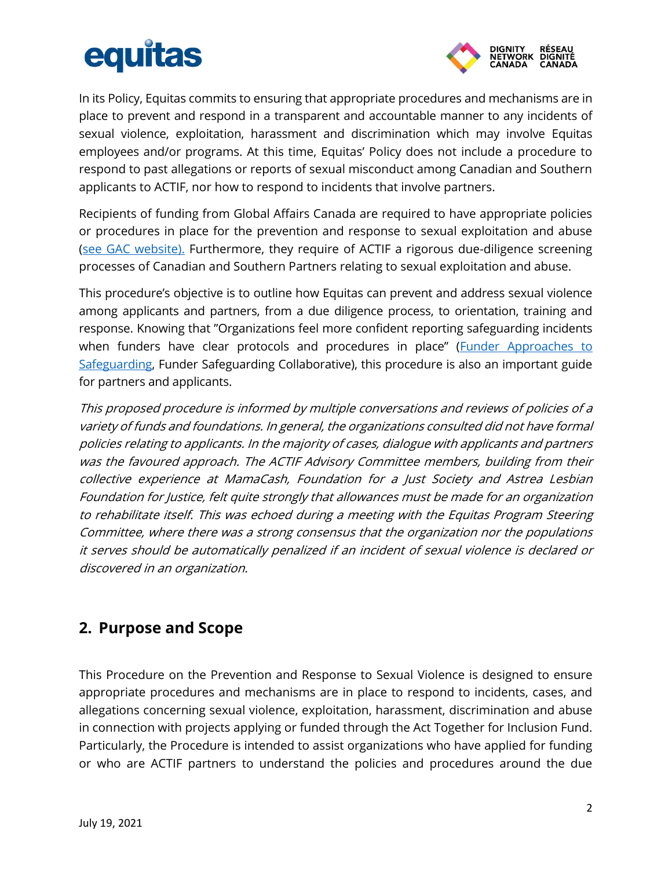

In its Policy, Equitas commits to ensuring that appropriate procedures and mechanisms are in place to prevent and respond in a transparent and accountable manner to any incidents of sexual violence, exploitation, harassment and discrimination which may involve Equitas employees and/or programs. At this time, Equitas' Policy does not include a procedure to respond to past allegations or reports of sexual misconduct among Canadian and Southern applicants to ACTIF, nor how to respond to incidents that involve partners.

Recipients of funding from Global Affairs Canada are required to have appropriate policies or procedures in place for the prevention and response to sexual exploitation and abuse [\(see GAC website\).](https://www.international.gc.ca/world-monde/issues_development-enjeux_developpement/sexual_exploitation-exploitation_sexuels/index.aspx?lang=eng) Furthermore, they require of ACTIF a rigorous due-diligence screening processes of Canadian and Southern Partners relating to sexual exploitation and abuse.

This procedure's objective is to outline how Equitas can prevent and address sexual violence among applicants and partners, from a due diligence process, to orientation, training and response. Knowing that "Organizations feel more confident reporting safeguarding incidents when funders have clear protocols and procedures in place" (Funder Approaches to [Safeguarding,](https://globalfundforchildren.org/wp-content/uploads/2021/06/FSC-Funder-Approaches-to-Safeguarding-Summary-June-2021.pdf) Funder Safeguarding Collaborative), this procedure is also an important guide for partners and applicants.

This proposed procedure is informed by multiple conversations and reviews of policies of a variety of funds and foundations. In general, the organizations consulted did not have formal policies relating to applicants. In the majority of cases, dialogue with applicants and partners was the favoured approach. The ACTIF Advisory Committee members, building from their collective experience at MamaCash, Foundation for a Just Society and Astrea Lesbian Foundation for Justice, felt quite strongly that allowances must be made for an organization to rehabilitate itself. This was echoed during a meeting with the Equitas Program Steering Committee, where there was a strong consensus that the organization nor the populations it serves should be automatically penalized if an incident of sexual violence is declared or discovered in an organization.

## <span id="page-1-0"></span>**2. Purpose and Scope**

This Procedure on the Prevention and Response to Sexual Violence is designed to ensure appropriate procedures and mechanisms are in place to respond to incidents, cases, and allegations concerning sexual violence, exploitation, harassment, discrimination and abuse in connection with projects applying or funded through the Act Together for Inclusion Fund. Particularly, the Procedure is intended to assist organizations who have applied for funding or who are ACTIF partners to understand the policies and procedures around the due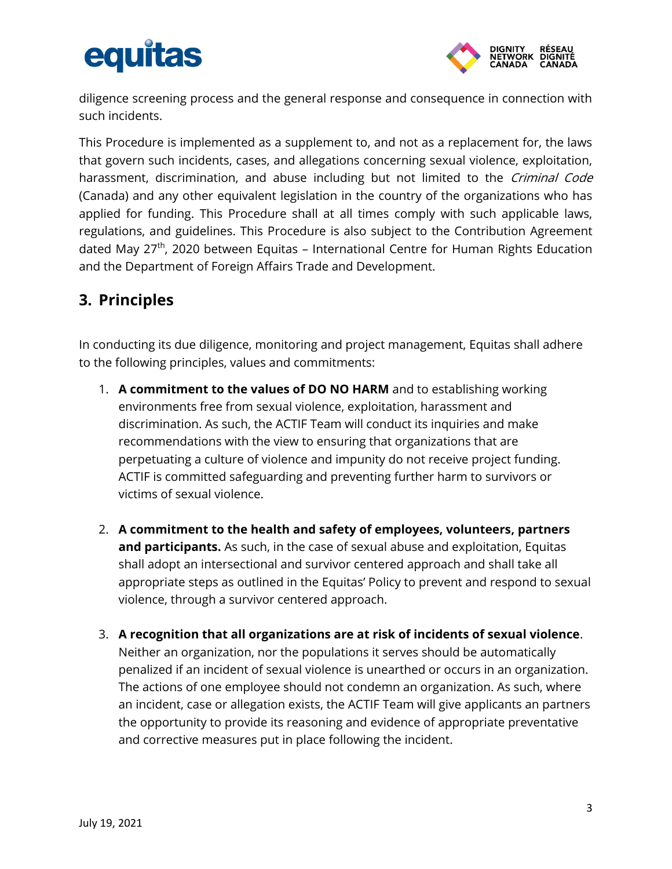

diligence screening process and the general response and consequence in connection with such incidents.

This Procedure is implemented as a supplement to, and not as a replacement for, the laws that govern such incidents, cases, and allegations concerning sexual violence, exploitation, harassment, discrimination, and abuse including but not limited to the *Criminal Code* (Canada) and any other equivalent legislation in the country of the organizations who has applied for funding. This Procedure shall at all times comply with such applicable laws, regulations, and guidelines. This Procedure is also subject to the Contribution Agreement dated May 27<sup>th</sup>, 2020 between Equitas – International Centre for Human Rights Education and the Department of Foreign Affairs Trade and Development.

## <span id="page-2-0"></span>**3. Principles**

In conducting its due diligence, monitoring and project management, Equitas shall adhere to the following principles, values and commitments:

- 1. **A commitment to the values of DO NO HARM** and to establishing working environments free from sexual violence, exploitation, harassment and discrimination. As such, the ACTIF Team will conduct its inquiries and make recommendations with the view to ensuring that organizations that are perpetuating a culture of violence and impunity do not receive project funding. ACTIF is committed safeguarding and preventing further harm to survivors or victims of sexual violence.
- 2. **A commitment to the health and safety of employees, volunteers, partners and participants.** As such, in the case of sexual abuse and exploitation, Equitas shall adopt an intersectional and survivor centered approach and shall take all appropriate steps as outlined in the Equitas' Policy to prevent and respond to sexual violence, through a survivor centered approach.
- 3. **A recognition that all organizations are at risk of incidents of sexual violence**. Neither an organization, nor the populations it serves should be automatically penalized if an incident of sexual violence is unearthed or occurs in an organization. The actions of one employee should not condemn an organization. As such, where an incident, case or allegation exists, the ACTIF Team will give applicants an partners the opportunity to provide its reasoning and evidence of appropriate preventative and corrective measures put in place following the incident.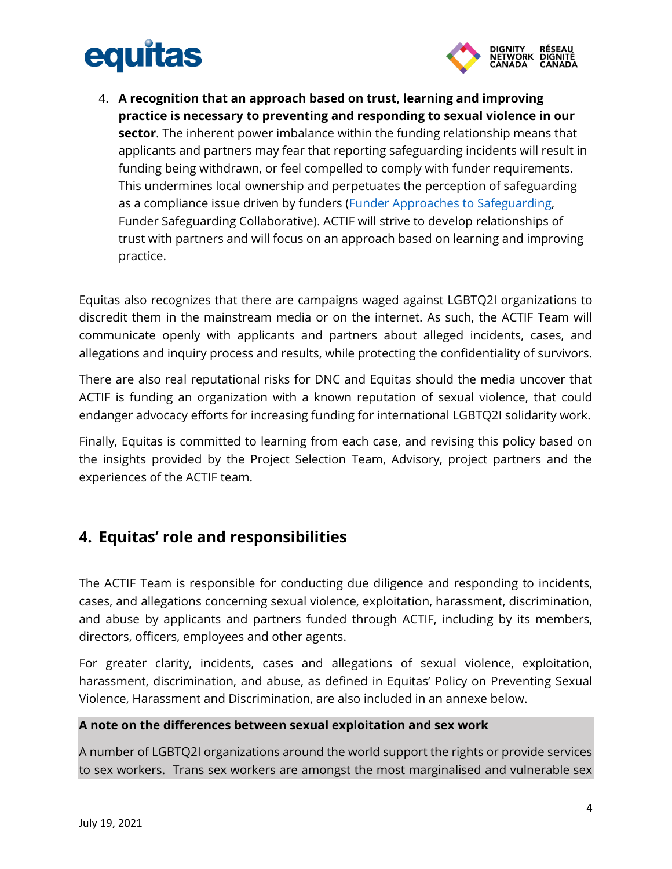

4. **A recognition that an approach based on trust, learning and improving practice is necessary to preventing and responding to sexual violence in our sector**. The inherent power imbalance within the funding relationship means that applicants and partners may fear that reporting safeguarding incidents will result in funding being withdrawn, or feel compelled to comply with funder requirements. This undermines local ownership and perpetuates the perception of safeguarding as a compliance issue driven by funders (**Funder Approaches to Safeguarding**, Funder Safeguarding Collaborative). ACTIF will strive to develop relationships of trust with partners and will focus on an approach based on learning and improving practice.

Equitas also recognizes that there are campaigns waged against LGBTQ2I organizations to discredit them in the mainstream media or on the internet. As such, the ACTIF Team will communicate openly with applicants and partners about alleged incidents, cases, and allegations and inquiry process and results, while protecting the confidentiality of survivors.

There are also real reputational risks for DNC and Equitas should the media uncover that ACTIF is funding an organization with a known reputation of sexual violence, that could endanger advocacy efforts for increasing funding for international LGBTQ2I solidarity work.

Finally, Equitas is committed to learning from each case, and revising this policy based on the insights provided by the Project Selection Team, Advisory, project partners and the experiences of the ACTIF team.

## <span id="page-3-0"></span>**4. Equitas' role and responsibilities**

The ACTIF Team is responsible for conducting due diligence and responding to incidents, cases, and allegations concerning sexual violence, exploitation, harassment, discrimination, and abuse by applicants and partners funded through ACTIF, including by its members, directors, officers, employees and other agents.

For greater clarity, incidents, cases and allegations of sexual violence, exploitation, harassment, discrimination, and abuse, as defined in Equitas' Policy on Preventing Sexual Violence, Harassment and Discrimination, are also included in an annexe below.

#### **A note on the differences between sexual exploitation and sex work**

A number of LGBTQ2I organizations around the world support the rights or provide services to sex workers. Trans sex workers are amongst the most marginalised and vulnerable sex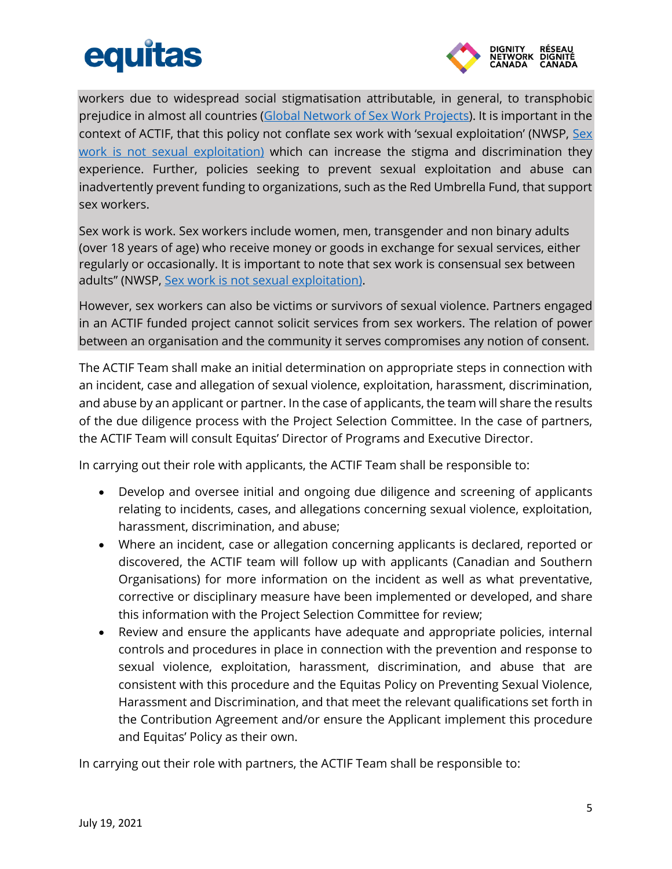

workers due to widespread social stigmatisation attributable, in general, to transphobic prejudice in almost all countries [\(Global Network of Sex Work Projects\)](https://www.nswp.org/sites/nswp.org/files/Trans%20SWs.pdf). It is important in the context of ACTIF, that this policy not conflate sex work with 'sexual exploitation' (NWSP, [Sex](https://www.nswp.org/sites/nswp.org/files/briefing_note_sex_work_is_not_sexual_exploitation_nswp_-_2019_0.pdf)  [work is not sexual exploitation\)](https://www.nswp.org/sites/nswp.org/files/briefing_note_sex_work_is_not_sexual_exploitation_nswp_-_2019_0.pdf) which can increase the stigma and discrimination they experience. Further, policies seeking to prevent sexual exploitation and abuse can inadvertently prevent funding to organizations, such as the Red Umbrella Fund, that support sex workers.

Sex work is work. Sex workers include women, men, transgender and non binary adults (over 18 years of age) who receive money or goods in exchange for sexual services, either regularly or occasionally. It is important to note that sex work is consensual sex between adults" (NWSP, [Sex work is not sexual exploitation\).](https://www.nswp.org/sites/nswp.org/files/briefing_note_sex_work_is_not_sexual_exploitation_nswp_-_2019_0.pdf)

However, sex workers can also be victims or survivors of sexual violence. Partners engaged in an ACTIF funded project cannot solicit services from sex workers. The relation of power between an organisation and the community it serves compromises any notion of consent.

The ACTIF Team shall make an initial determination on appropriate steps in connection with an incident, case and allegation of sexual violence, exploitation, harassment, discrimination, and abuse by an applicant or partner. In the case of applicants, the team will share the results of the due diligence process with the Project Selection Committee. In the case of partners, the ACTIF Team will consult Equitas' Director of Programs and Executive Director.

In carrying out their role with applicants, the ACTIF Team shall be responsible to:

- Develop and oversee initial and ongoing due diligence and screening of applicants relating to incidents, cases, and allegations concerning sexual violence, exploitation, harassment, discrimination, and abuse;
- Where an incident, case or allegation concerning applicants is declared, reported or discovered, the ACTIF team will follow up with applicants (Canadian and Southern Organisations) for more information on the incident as well as what preventative, corrective or disciplinary measure have been implemented or developed, and share this information with the Project Selection Committee for review;
- Review and ensure the applicants have adequate and appropriate policies, internal controls and procedures in place in connection with the prevention and response to sexual violence, exploitation, harassment, discrimination, and abuse that are consistent with this procedure and the Equitas Policy on Preventing Sexual Violence, Harassment and Discrimination, and that meet the relevant qualifications set forth in the Contribution Agreement and/or ensure the Applicant implement this procedure and Equitas' Policy as their own.

In carrying out their role with partners, the ACTIF Team shall be responsible to: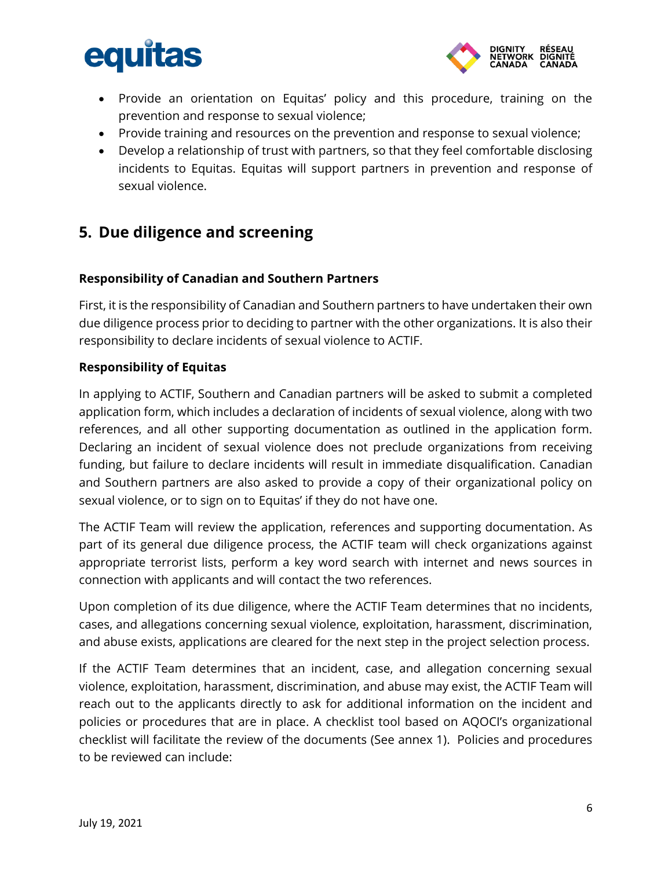

- Provide an orientation on Equitas' policy and this procedure, training on the prevention and response to sexual violence;
- Provide training and resources on the prevention and response to sexual violence;
- Develop a relationship of trust with partners, so that they feel comfortable disclosing incidents to Equitas. Equitas will support partners in prevention and response of sexual violence.

## <span id="page-5-0"></span>**5. Due diligence and screening**

#### **Responsibility of Canadian and Southern Partners**

First, it is the responsibility of Canadian and Southern partners to have undertaken their own due diligence process prior to deciding to partner with the other organizations. It is also their responsibility to declare incidents of sexual violence to ACTIF.

#### **Responsibility of Equitas**

In applying to ACTIF, Southern and Canadian partners will be asked to submit a completed application form, which includes a declaration of incidents of sexual violence, along with two references, and all other supporting documentation as outlined in the application form. Declaring an incident of sexual violence does not preclude organizations from receiving funding, but failure to declare incidents will result in immediate disqualification. Canadian and Southern partners are also asked to provide a copy of their organizational policy on sexual violence, or to sign on to Equitas' if they do not have one.

The ACTIF Team will review the application, references and supporting documentation. As part of its general due diligence process, the ACTIF team will check organizations against appropriate terrorist lists, perform a key word search with internet and news sources in connection with applicants and will contact the two references.

Upon completion of its due diligence, where the ACTIF Team determines that no incidents, cases, and allegations concerning sexual violence, exploitation, harassment, discrimination, and abuse exists, applications are cleared for the next step in the project selection process.

If the ACTIF Team determines that an incident, case, and allegation concerning sexual violence, exploitation, harassment, discrimination, and abuse may exist, the ACTIF Team will reach out to the applicants directly to ask for additional information on the incident and policies or procedures that are in place. A checklist tool based on AQOCI's organizational checklist will facilitate the review of the documents (See annex 1). Policies and procedures to be reviewed can include: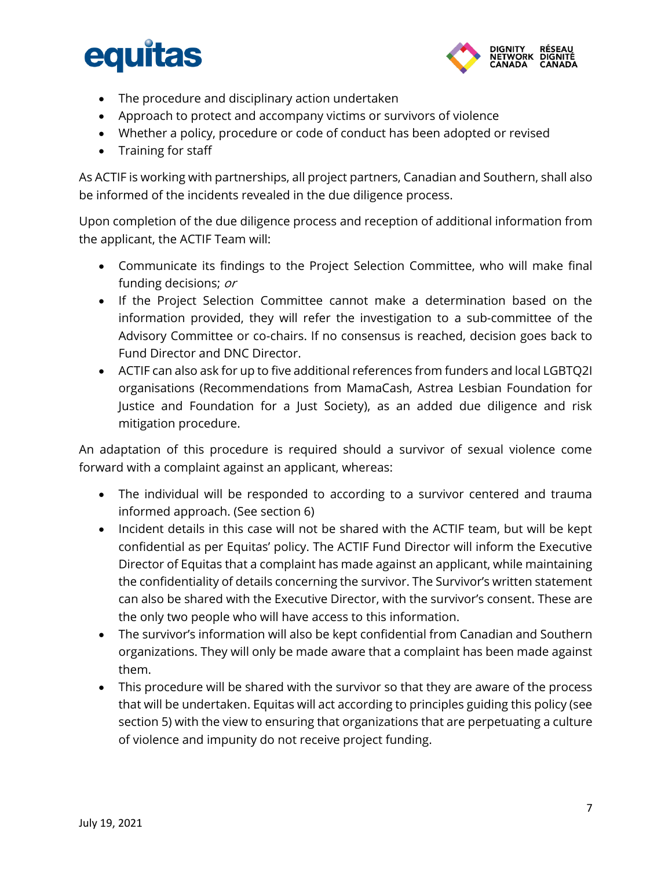

- The procedure and disciplinary action undertaken
- Approach to protect and accompany victims or survivors of violence
- Whether a policy, procedure or code of conduct has been adopted or revised
- Training for staff

As ACTIF is working with partnerships, all project partners, Canadian and Southern, shall also be informed of the incidents revealed in the due diligence process.

Upon completion of the due diligence process and reception of additional information from the applicant, the ACTIF Team will:

- Communicate its findings to the Project Selection Committee, who will make final funding decisions; or
- If the Project Selection Committee cannot make a determination based on the information provided, they will refer the investigation to a sub-committee of the Advisory Committee or co-chairs. If no consensus is reached, decision goes back to Fund Director and DNC Director.
- ACTIF can also ask for up to five additional references from funders and local LGBTQ2I organisations (Recommendations from MamaCash, Astrea Lesbian Foundation for Justice and Foundation for a Just Society), as an added due diligence and risk mitigation procedure.

An adaptation of this procedure is required should a survivor of sexual violence come forward with a complaint against an applicant, whereas:

- The individual will be responded to according to a survivor centered and trauma informed approach. (See section 6)
- Incident details in this case will not be shared with the ACTIF team, but will be kept confidential as per Equitas' policy. The ACTIF Fund Director will inform the Executive Director of Equitas that a complaint has made against an applicant, while maintaining the confidentiality of details concerning the survivor. The Survivor's written statement can also be shared with the Executive Director, with the survivor's consent. These are the only two people who will have access to this information.
- The survivor's information will also be kept confidential from Canadian and Southern organizations. They will only be made aware that a complaint has been made against them.
- This procedure will be shared with the survivor so that they are aware of the process that will be undertaken. Equitas will act according to principles guiding this policy (see section 5) with the view to ensuring that organizations that are perpetuating a culture of violence and impunity do not receive project funding.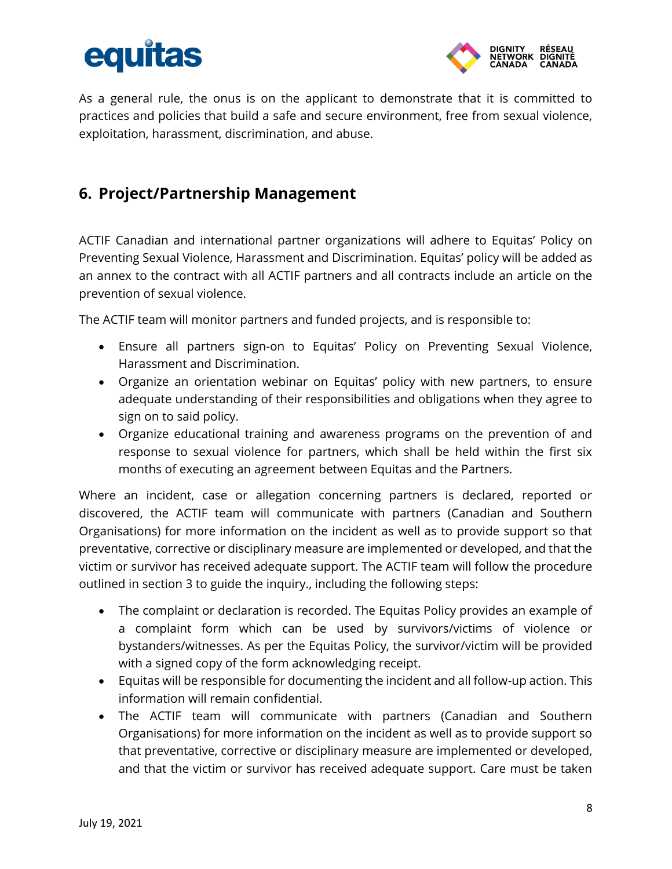

As a general rule, the onus is on the applicant to demonstrate that it is committed to practices and policies that build a safe and secure environment, free from sexual violence, exploitation, harassment, discrimination, and abuse.

## <span id="page-7-0"></span>**6. Project/Partnership Management**

ACTIF Canadian and international partner organizations will adhere to Equitas' Policy on Preventing Sexual Violence, Harassment and Discrimination. Equitas' policy will be added as an annex to the contract with all ACTIF partners and all contracts include an article on the prevention of sexual violence.

The ACTIF team will monitor partners and funded projects, and is responsible to:

- Ensure all partners sign-on to Equitas' Policy on Preventing Sexual Violence, Harassment and Discrimination.
- Organize an orientation webinar on Equitas' policy with new partners, to ensure adequate understanding of their responsibilities and obligations when they agree to sign on to said policy.
- Organize educational training and awareness programs on the prevention of and response to sexual violence for partners, which shall be held within the first six months of executing an agreement between Equitas and the Partners.

Where an incident, case or allegation concerning partners is declared, reported or discovered, the ACTIF team will communicate with partners (Canadian and Southern Organisations) for more information on the incident as well as to provide support so that preventative, corrective or disciplinary measure are implemented or developed, and that the victim or survivor has received adequate support. The ACTIF team will follow the procedure outlined in section 3 to guide the inquiry., including the following steps:

- The complaint or declaration is recorded. The Equitas Policy provides an example of a complaint form which can be used by survivors/victims of violence or bystanders/witnesses. As per the Equitas Policy, the survivor/victim will be provided with a signed copy of the form acknowledging receipt.
- Equitas will be responsible for documenting the incident and all follow-up action. This information will remain confidential.
- The ACTIF team will communicate with partners (Canadian and Southern Organisations) for more information on the incident as well as to provide support so that preventative, corrective or disciplinary measure are implemented or developed, and that the victim or survivor has received adequate support. Care must be taken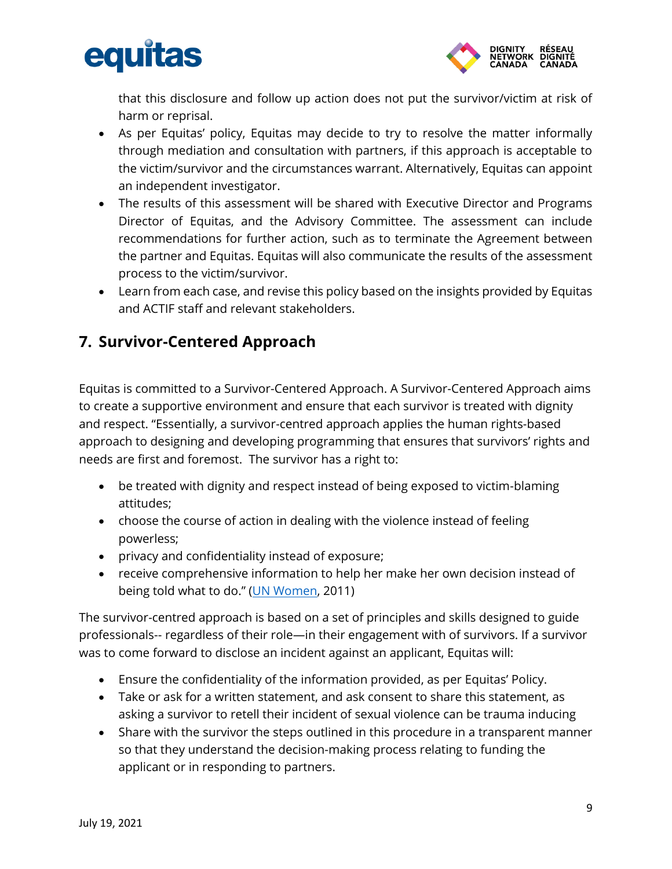



that this disclosure and follow up action does not put the survivor/victim at risk of harm or reprisal.

- As per Equitas' policy, Equitas may decide to try to resolve the matter informally through mediation and consultation with partners, if this approach is acceptable to the victim/survivor and the circumstances warrant. Alternatively, Equitas can appoint an independent investigator.
- The results of this assessment will be shared with Executive Director and Programs Director of Equitas, and the Advisory Committee. The assessment can include recommendations for further action, such as to terminate the Agreement between the partner and Equitas. Equitas will also communicate the results of the assessment process to the victim/survivor.
- Learn from each case, and revise this policy based on the insights provided by Equitas and ACTIF staff and relevant stakeholders.

## <span id="page-8-0"></span>**7. Survivor-Centered Approach**

Equitas is committed to a Survivor-Centered Approach. A Survivor-Centered Approach aims to create a supportive environment and ensure that each survivor is treated with dignity and respect. "Essentially, a survivor-centred approach applies the human rights-based approach to designing and developing programming that ensures that survivors' rights and needs are first and foremost. The survivor has a right to:

- be treated with dignity and respect instead of being exposed to victim-blaming attitudes;
- choose the course of action in dealing with the violence instead of feeling powerless;
- privacy and confidentiality instead of exposure;
- receive comprehensive information to help her make her own decision instead of being told what to do." ([UN Women,](https://www.endvawnow.org/en/articles/652-survivor-centred-approach.html) 2011)

The survivor-centred approach is based on a set of principles and skills designed to guide professionals-- regardless of their role—in their engagement with of survivors. If a survivor was to come forward to disclose an incident against an applicant, Equitas will:

- Ensure the confidentiality of the information provided, as per Equitas' Policy.
- Take or ask for a written statement, and ask consent to share this statement, as asking a survivor to retell their incident of sexual violence can be trauma inducing
- Share with the survivor the steps outlined in this procedure in a transparent manner so that they understand the decision-making process relating to funding the applicant or in responding to partners.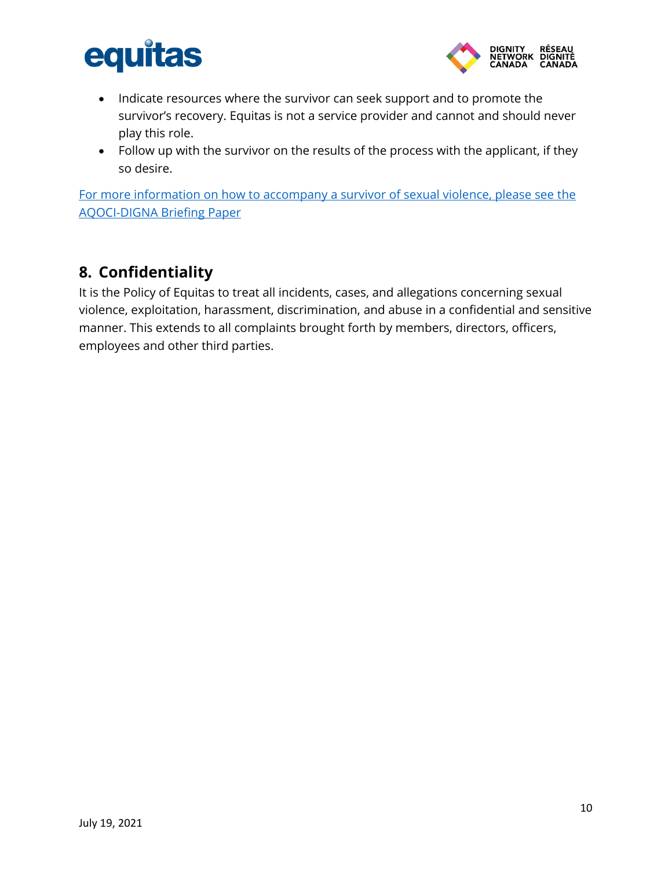



- Indicate resources where the survivor can seek support and to promote the survivor's recovery. Equitas is not a service provider and cannot and should never play this role.
- Follow up with the survivor on the results of the process with the applicant, if they so desire.

[For more information on how to accompany a survivor of sexual violence, please see the](https://www.digna.ca/wp-content/uploads/2020/08/brief_4_-_accompanying_survivors_-_version_finale-1.pdf)  [AQOCI-DIGNA Briefing Paper](https://www.digna.ca/wp-content/uploads/2020/08/brief_4_-_accompanying_survivors_-_version_finale-1.pdf)

### <span id="page-9-0"></span>**8. Confidentiality**

It is the Policy of Equitas to treat all incidents, cases, and allegations concerning sexual violence, exploitation, harassment, discrimination, and abuse in a confidential and sensitive manner. This extends to all complaints brought forth by members, directors, officers, employees and other third parties.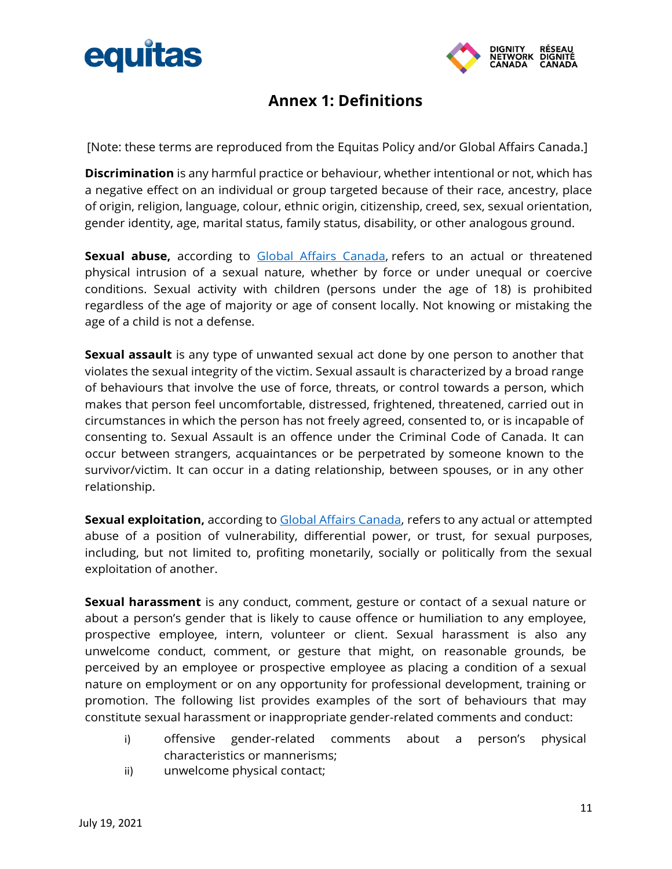



## **Annex 1: Definitions**

<span id="page-10-0"></span>[Note: these terms are reproduced from the Equitas Policy and/or Global Affairs Canada.]

**Discrimination** is any harmful practice or behaviour, whether intentional or not, which has a negative effect on an individual or group targeted because of their race, ancestry, place of origin, religion, language, colour, ethnic origin, citizenship, creed, sex, sexual orientation, gender identity, age, marital status, family status, disability, or other analogous ground.

Sexual abuse, according to [Global Affairs Canada,](https://www.international.gc.ca/world-monde/issues_development-enjeux_developpement/sexual_exploitation-exploitation_sexuels/index.aspx?lang=eng) refers to an actual or threatened physical intrusion of a sexual nature, whether by force or under unequal or coercive conditions. Sexual activity with children (persons under the age of 18) is prohibited regardless of the age of majority or age of consent locally. Not knowing or mistaking the age of a child is not a defense.

**Sexual assault** is any type of unwanted sexual act done by one person to another that violates the sexual integrity of the victim. Sexual assault is characterized by a broad range of behaviours that involve the use of force, threats, or control towards a person, which makes that person feel uncomfortable, distressed, frightened, threatened, carried out in circumstances in which the person has not freely agreed, consented to, or is incapable of consenting to. Sexual Assault is an offence under the Criminal Code of Canada. It can occur between strangers, acquaintances or be perpetrated by someone known to the survivor/victim. It can occur in a dating relationship, between spouses, or in any other relationship.

**Sexual exploitation,** according to [Global Affairs Canada,](https://www.international.gc.ca/world-monde/issues_development-enjeux_developpement/sexual_exploitation-exploitation_sexuels/index.aspx?lang=eng) refers to any actual or attempted abuse of a position of vulnerability, differential power, or trust, for sexual purposes, including, but not limited to, profiting monetarily, socially or politically from the sexual exploitation of another.

**Sexual harassment** is any conduct, comment, gesture or contact of a sexual nature or about a person's gender that is likely to cause offence or humiliation to any employee, prospective employee, intern, volunteer or client. Sexual harassment is also any unwelcome conduct, comment, or gesture that might, on reasonable grounds, be perceived by an employee or prospective employee as placing a condition of a sexual nature on employment or on any opportunity for professional development, training or promotion. The following list provides examples of the sort of behaviours that may constitute sexual harassment or inappropriate gender-related comments and conduct:

- i) offensive gender-related comments about a person's physical characteristics or mannerisms;
- ii) unwelcome physical contact;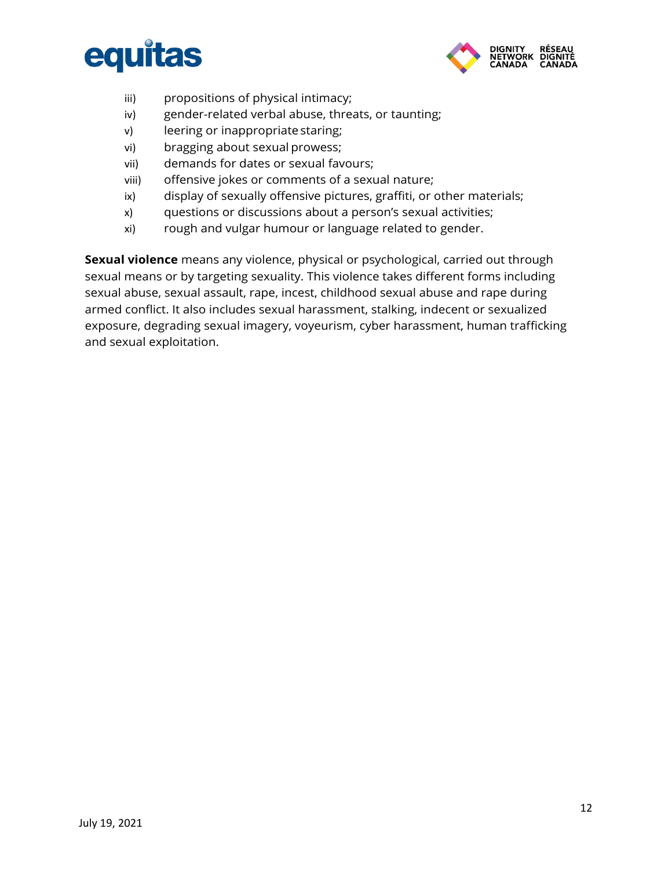



- iii) propositions of physical intimacy;
- iv) gender-related verbal abuse, threats, or taunting;
- v) leering or inappropriate staring;
- vi) bragging about sexual prowess;
- vii) demands for dates or sexual favours;
- viii) offensive jokes or comments of a sexual nature;
- ix) display of sexually offensive pictures, graffiti, or other materials;
- x) questions or discussions about a person's sexual activities;
- xi) rough and vulgar humour or language related to gender.

**Sexual violence** means any violence, physical or psychological, carried out through sexual means or by targeting sexuality. This violence takes different forms including sexual abuse, sexual assault, rape, incest, childhood sexual abuse and rape during armed conflict. It also includes sexual harassment, stalking, indecent or sexualized exposure, degrading sexual imagery, voyeurism, cyber harassment, human trafficking and sexual exploitation.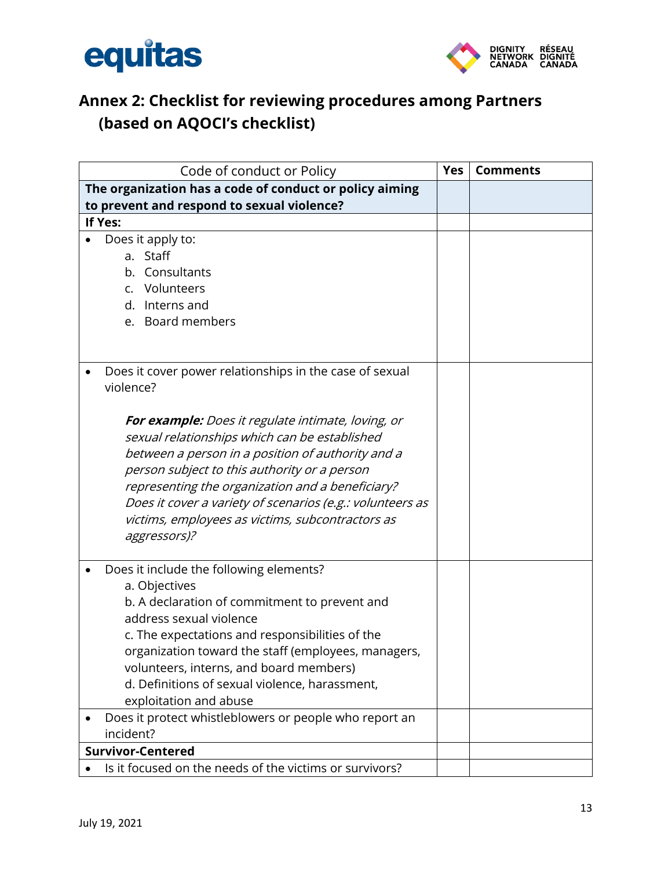



## <span id="page-12-0"></span>**Annex 2: Checklist for reviewing procedures among Partners (based on AQOCI's checklist)**

| Code of conduct or Policy                                                                           |  | <b>Comments</b> |
|-----------------------------------------------------------------------------------------------------|--|-----------------|
| The organization has a code of conduct or policy aiming                                             |  |                 |
| to prevent and respond to sexual violence?                                                          |  |                 |
| If Yes:                                                                                             |  |                 |
| Does it apply to:                                                                                   |  |                 |
| a. Staff                                                                                            |  |                 |
| b. Consultants                                                                                      |  |                 |
| c. Volunteers                                                                                       |  |                 |
| d. Interns and                                                                                      |  |                 |
| e. Board members                                                                                    |  |                 |
|                                                                                                     |  |                 |
| Does it cover power relationships in the case of sexual<br>violence?                                |  |                 |
| For example: Does it regulate intimate, loving, or<br>sexual relationships which can be established |  |                 |
| between a person in a position of authority and a                                                   |  |                 |
| person subject to this authority or a person                                                        |  |                 |
| representing the organization and a beneficiary?                                                    |  |                 |
| Does it cover a variety of scenarios (e.g.: volunteers as                                           |  |                 |
| victims, employees as victims, subcontractors as                                                    |  |                 |
| aggressors)?                                                                                        |  |                 |
| Does it include the following elements?                                                             |  |                 |
| a. Objectives                                                                                       |  |                 |
| b. A declaration of commitment to prevent and                                                       |  |                 |
| address sexual violence                                                                             |  |                 |
| c. The expectations and responsibilities of the                                                     |  |                 |
| organization toward the staff (employees, managers,                                                 |  |                 |
| volunteers, interns, and board members)                                                             |  |                 |
| d. Definitions of sexual violence, harassment,                                                      |  |                 |
| exploitation and abuse                                                                              |  |                 |
| Does it protect whistleblowers or people who report an                                              |  |                 |
| incident?                                                                                           |  |                 |
| <b>Survivor-Centered</b>                                                                            |  |                 |
| Is it focused on the needs of the victims or survivors?                                             |  |                 |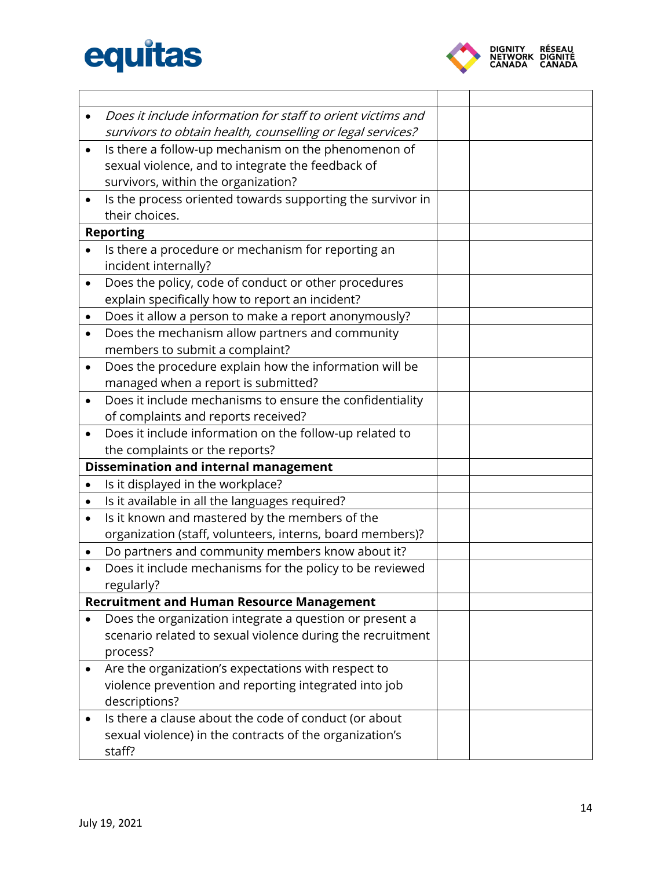

 $\overline{\phantom{0}}$ 

|           | Does it include information for staff to orient victims and |  |
|-----------|-------------------------------------------------------------|--|
|           | survivors to obtain health, counselling or legal services?  |  |
| $\bullet$ | Is there a follow-up mechanism on the phenomenon of         |  |
|           | sexual violence, and to integrate the feedback of           |  |
|           | survivors, within the organization?                         |  |
|           | Is the process oriented towards supporting the survivor in  |  |
|           | their choices.                                              |  |
|           | <b>Reporting</b>                                            |  |
|           | Is there a procedure or mechanism for reporting an          |  |
|           | incident internally?                                        |  |
|           | Does the policy, code of conduct or other procedures        |  |
|           | explain specifically how to report an incident?             |  |
| $\bullet$ | Does it allow a person to make a report anonymously?        |  |
| $\bullet$ | Does the mechanism allow partners and community             |  |
|           | members to submit a complaint?                              |  |
| $\bullet$ | Does the procedure explain how the information will be      |  |
|           | managed when a report is submitted?                         |  |
|           | Does it include mechanisms to ensure the confidentiality    |  |
|           | of complaints and reports received?                         |  |
| $\bullet$ | Does it include information on the follow-up related to     |  |
|           | the complaints or the reports?                              |  |
|           | <b>Dissemination and internal management</b>                |  |
|           | Is it displayed in the workplace?                           |  |
| $\bullet$ | Is it available in all the languages required?              |  |
| $\bullet$ | Is it known and mastered by the members of the              |  |
|           | organization (staff, volunteers, interns, board members)?   |  |
|           | Do partners and community members know about it?            |  |
|           | Does it include mechanisms for the policy to be reviewed    |  |
|           | regularly?                                                  |  |
|           | <b>Recruitment and Human Resource Management</b>            |  |
|           | Does the organization integrate a question or present a     |  |
|           | scenario related to sexual violence during the recruitment  |  |
|           | process?                                                    |  |
|           | Are the organization's expectations with respect to         |  |
|           | violence prevention and reporting integrated into job       |  |
|           | descriptions?                                               |  |
|           | Is there a clause about the code of conduct (or about       |  |
|           | sexual violence) in the contracts of the organization's     |  |
|           | staff?                                                      |  |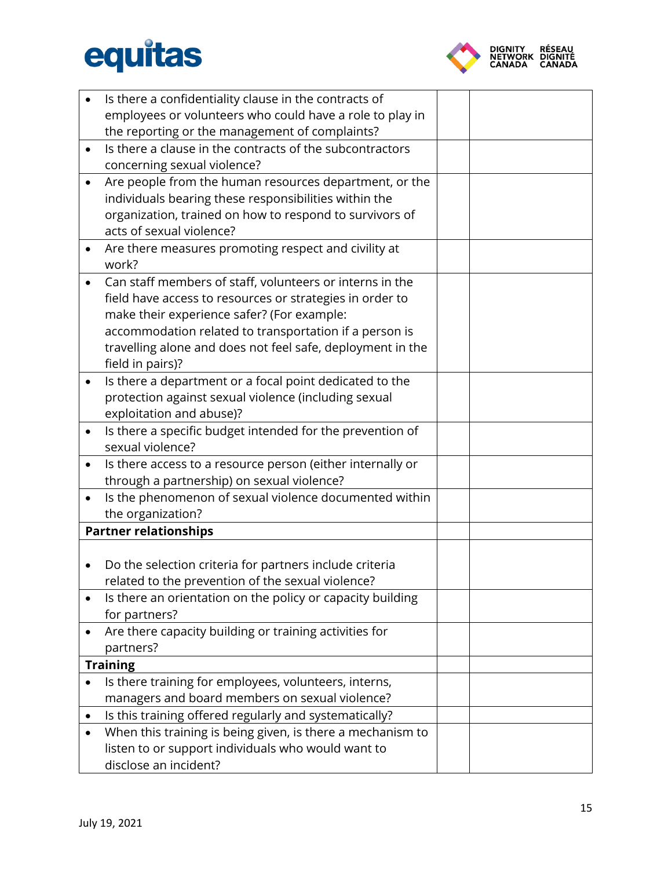

|           | Is there a confidentiality clause in the contracts of                   |  |  |
|-----------|-------------------------------------------------------------------------|--|--|
|           | employees or volunteers who could have a role to play in                |  |  |
|           | the reporting or the management of complaints?                          |  |  |
| $\bullet$ | Is there a clause in the contracts of the subcontractors                |  |  |
|           | concerning sexual violence?                                             |  |  |
| $\bullet$ | Are people from the human resources department, or the                  |  |  |
|           | individuals bearing these responsibilities within the                   |  |  |
|           | organization, trained on how to respond to survivors of                 |  |  |
|           | acts of sexual violence?                                                |  |  |
| $\bullet$ | Are there measures promoting respect and civility at                    |  |  |
|           | work?                                                                   |  |  |
| $\bullet$ | Can staff members of staff, volunteers or interns in the                |  |  |
|           | field have access to resources or strategies in order to                |  |  |
|           | make their experience safer? (For example:                              |  |  |
|           | accommodation related to transportation if a person is                  |  |  |
|           | travelling alone and does not feel safe, deployment in the              |  |  |
|           | field in pairs)?                                                        |  |  |
|           | Is there a department or a focal point dedicated to the                 |  |  |
|           | protection against sexual violence (including sexual                    |  |  |
|           | exploitation and abuse)?                                                |  |  |
| $\bullet$ | Is there a specific budget intended for the prevention of               |  |  |
|           | sexual violence?                                                        |  |  |
| $\bullet$ | Is there access to a resource person (either internally or              |  |  |
|           | through a partnership) on sexual violence?                              |  |  |
| $\bullet$ | Is the phenomenon of sexual violence documented within                  |  |  |
|           | the organization?                                                       |  |  |
|           | <b>Partner relationships</b>                                            |  |  |
|           |                                                                         |  |  |
|           | Do the selection criteria for partners include criteria                 |  |  |
|           | related to the prevention of the sexual violence?                       |  |  |
|           | Is there an orientation on the policy or capacity building              |  |  |
|           | for partners?<br>Are there capacity building or training activities for |  |  |
|           | partners?                                                               |  |  |
|           | <b>Training</b>                                                         |  |  |
|           | Is there training for employees, volunteers, interns,                   |  |  |
|           | managers and board members on sexual violence?                          |  |  |
| ٠         | Is this training offered regularly and systematically?                  |  |  |
|           | When this training is being given, is there a mechanism to              |  |  |
|           | listen to or support individuals who would want to                      |  |  |
|           | disclose an incident?                                                   |  |  |
|           |                                                                         |  |  |